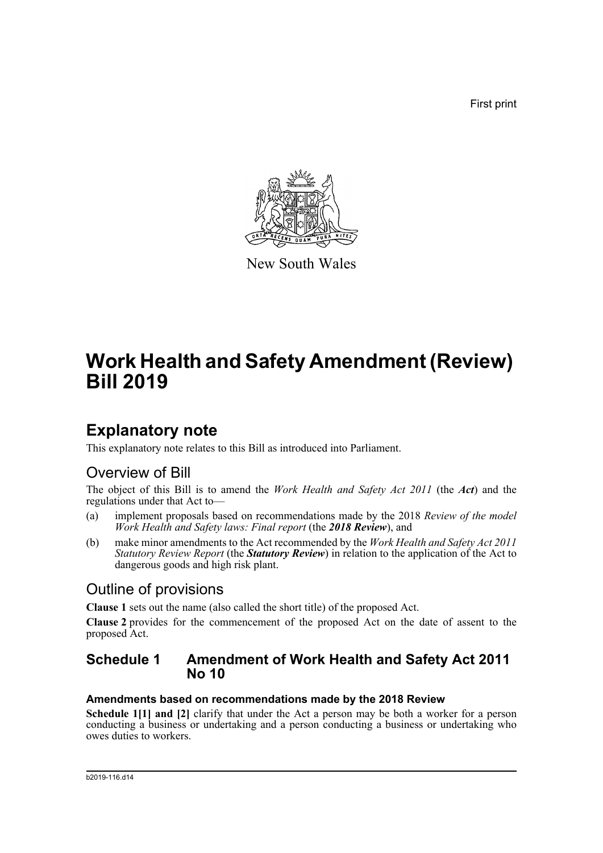First print



New South Wales

# **Work Health and Safety Amendment (Review) Bill 2019**

## **Explanatory note**

This explanatory note relates to this Bill as introduced into Parliament.

## Overview of Bill

The object of this Bill is to amend the *Work Health and Safety Act 2011* (the *Act*) and the regulations under that Act to—

- (a) implement proposals based on recommendations made by the 2018 *Review of the model Work Health and Safety laws: Final report* (the *2018 Review*), and
- (b) make minor amendments to the Act recommended by the *Work Health and Safety Act 2011 Statutory Review Report* (the *Statutory Review*) in relation to the application of the Act to dangerous goods and high risk plant.

## Outline of provisions

**Clause 1** sets out the name (also called the short title) of the proposed Act.

**Clause 2** provides for the commencement of the proposed Act on the date of assent to the proposed Act.

### **Schedule 1 Amendment of Work Health and Safety Act 2011 No 10**

### **Amendments based on recommendations made by the 2018 Review**

**Schedule 1[1] and [2]** clarify that under the Act a person may be both a worker for a person conducting a business or undertaking and a person conducting a business or undertaking who owes duties to workers.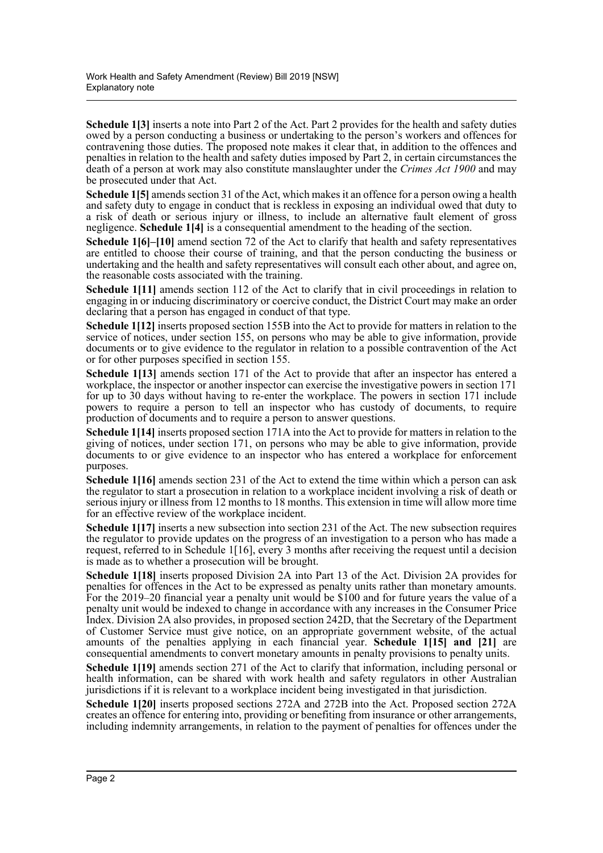**Schedule 1[3]** inserts a note into Part 2 of the Act. Part 2 provides for the health and safety duties owed by a person conducting a business or undertaking to the person's workers and offences for contravening those duties. The proposed note makes it clear that, in addition to the offences and penalties in relation to the health and safety duties imposed by Part 2, in certain circumstances the death of a person at work may also constitute manslaughter under the *Crimes Act 1900* and may be prosecuted under that Act.

**Schedule 1[5]** amends section 31 of the Act, which makes it an offence for a person owing a health and safety duty to engage in conduct that is reckless in exposing an individual owed that duty to a risk of death or serious injury or illness, to include an alternative fault element of gross negligence. **Schedule 1[4]** is a consequential amendment to the heading of the section.

**Schedule 16-101** amend section 72 of the Act to clarify that health and safety representatives are entitled to choose their course of training, and that the person conducting the business or undertaking and the health and safety representatives will consult each other about, and agree on, the reasonable costs associated with the training.

**Schedule 1[11]** amends section 112 of the Act to clarify that in civil proceedings in relation to engaging in or inducing discriminatory or coercive conduct, the District Court may make an order declaring that a person has engaged in conduct of that type.

**Schedule 1[12]** inserts proposed section 155B into the Act to provide for matters in relation to the service of notices, under section 155, on persons who may be able to give information, provide documents or to give evidence to the regulator in relation to a possible contravention of the Act or for other purposes specified in section 155.

**Schedule 1[13]** amends section 171 of the Act to provide that after an inspector has entered a workplace, the inspector or another inspector can exercise the investigative powers in section 171 for up to 30 days without having to re-enter the workplace. The powers in section 171 include powers to require a person to tell an inspector who has custody of documents, to require production of documents and to require a person to answer questions.

**Schedule 1[14]** inserts proposed section 171A into the Act to provide for matters in relation to the giving of notices, under section 171, on persons who may be able to give information, provide documents to or give evidence to an inspector who has entered a workplace for enforcement purposes.

**Schedule 1[16]** amends section 231 of the Act to extend the time within which a person can ask the regulator to start a prosecution in relation to a workplace incident involving a risk of death or serious injury or illness from 12 months to 18 months. This extension in time will allow more time for an effective review of the workplace incident.

**Schedule 1[17]** inserts a new subsection into section 231 of the Act. The new subsection requires the regulator to provide updates on the progress of an investigation to a person who has made a request, referred to in Schedule 1[16], every 3 months after receiving the request until a decision is made as to whether a prosecution will be brought.

**Schedule 1[18]** inserts proposed Division 2A into Part 13 of the Act. Division 2A provides for penalties for offences in the Act to be expressed as penalty units rather than monetary amounts. For the 2019–20 financial year a penalty unit would be \$100 and for future years the value of a penalty unit would be indexed to change in accordance with any increases in the Consumer Price Index. Division 2A also provides, in proposed section 242D, that the Secretary of the Department of Customer Service must give notice, on an appropriate government website, of the actual amounts of the penalties applying in each financial year. **Schedule 1[15] and [21]** are consequential amendments to convert monetary amounts in penalty provisions to penalty units.

**Schedule 1[19]** amends section 271 of the Act to clarify that information, including personal or health information, can be shared with work health and safety regulators in other Australian jurisdictions if it is relevant to a workplace incident being investigated in that jurisdiction.

**Schedule 1[20]** inserts proposed sections 272A and 272B into the Act. Proposed section 272A creates an offence for entering into, providing or benefiting from insurance or other arrangements, including indemnity arrangements, in relation to the payment of penalties for offences under the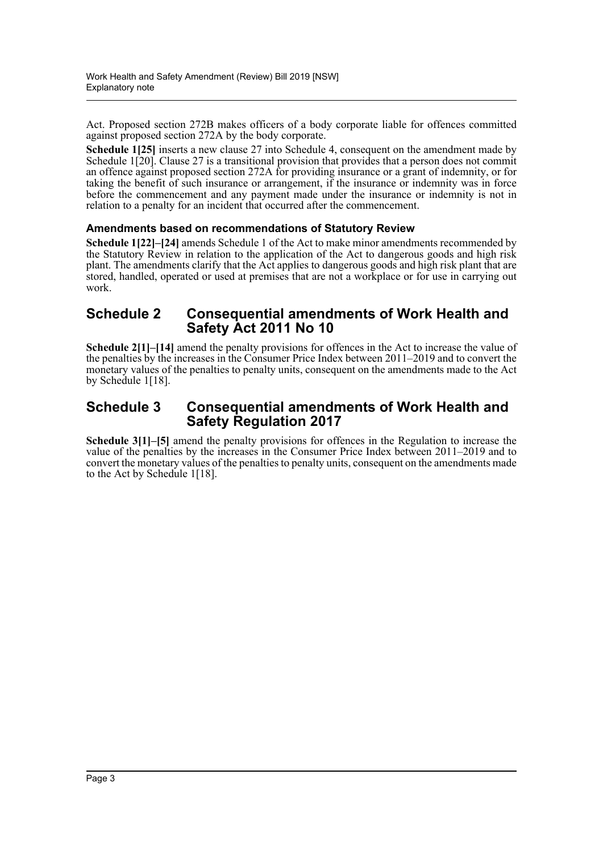Act. Proposed section 272B makes officers of a body corporate liable for offences committed against proposed section 272A by the body corporate.

**Schedule 1[25]** inserts a new clause 27 into Schedule 4, consequent on the amendment made by Schedule 1[20]. Clause 27 is a transitional provision that provides that a person does not commit an offence against proposed section 272A for providing insurance or a grant of indemnity, or for taking the benefit of such insurance or arrangement, if the insurance or indemnity was in force before the commencement and any payment made under the insurance or indemnity is not in relation to a penalty for an incident that occurred after the commencement.

### **Amendments based on recommendations of Statutory Review**

**Schedule 1[22]–[24]** amends Schedule 1 of the Act to make minor amendments recommended by the Statutory Review in relation to the application of the Act to dangerous goods and high risk plant. The amendments clarify that the Act applies to dangerous goods and high risk plant that are stored, handled, operated or used at premises that are not a workplace or for use in carrying out work.

### **Schedule 2 Consequential amendments of Work Health and Safety Act 2011 No 10**

**Schedule 2[1]–[14]** amend the penalty provisions for offences in the Act to increase the value of the penalties by the increases in the Consumer Price Index between 2011–2019 and to convert the monetary values of the penalties to penalty units, consequent on the amendments made to the Act by Schedule 1[18].

### **Schedule 3 Consequential amendments of Work Health and Safety Regulation 2017**

**Schedule 3[1]–[5]** amend the penalty provisions for offences in the Regulation to increase the value of the penalties by the increases in the Consumer Price Index between 2011–2019 and to convert the monetary values of the penalties to penalty units, consequent on the amendments made to the Act by Schedule 1[18].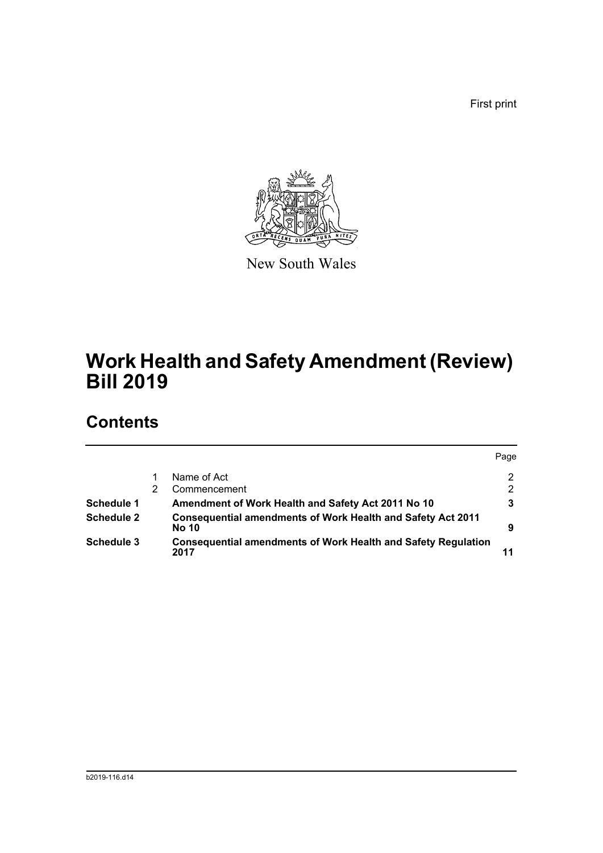First print



New South Wales

# **Work Health and Safety Amendment (Review) Bill 2019**

## **Contents**

|                   |                                                                                    | Page |
|-------------------|------------------------------------------------------------------------------------|------|
|                   | Name of Act                                                                        | 2    |
|                   | Commencement                                                                       | 2    |
| Schedule 1        | Amendment of Work Health and Safety Act 2011 No 10                                 | 3    |
| <b>Schedule 2</b> | <b>Consequential amendments of Work Health and Safety Act 2011</b><br><b>No 10</b> | 9    |
| Schedule 3        | <b>Consequential amendments of Work Health and Safety Regulation</b><br>2017       |      |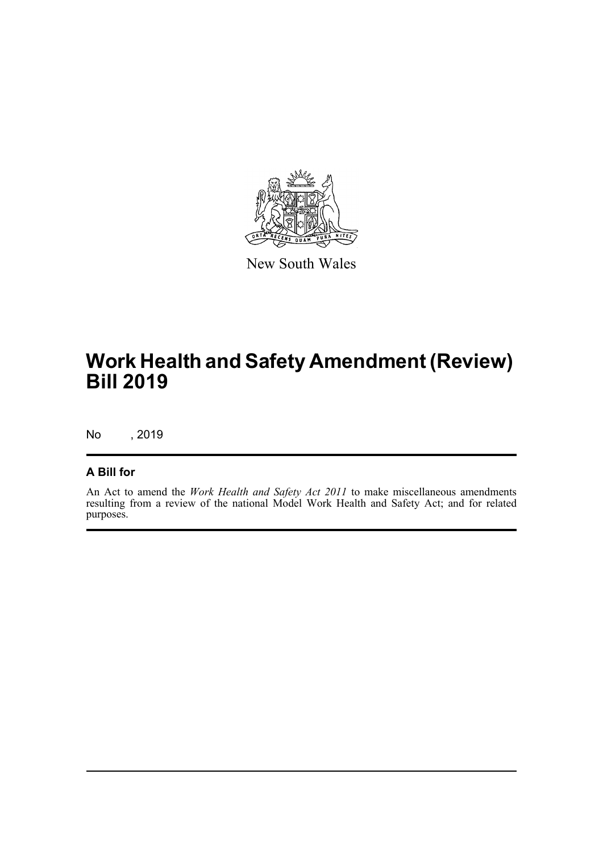

New South Wales

# **Work Health and Safety Amendment (Review) Bill 2019**

No , 2019

### **A Bill for**

An Act to amend the *Work Health and Safety Act 2011* to make miscellaneous amendments resulting from a review of the national Model Work Health and Safety Act; and for related purposes.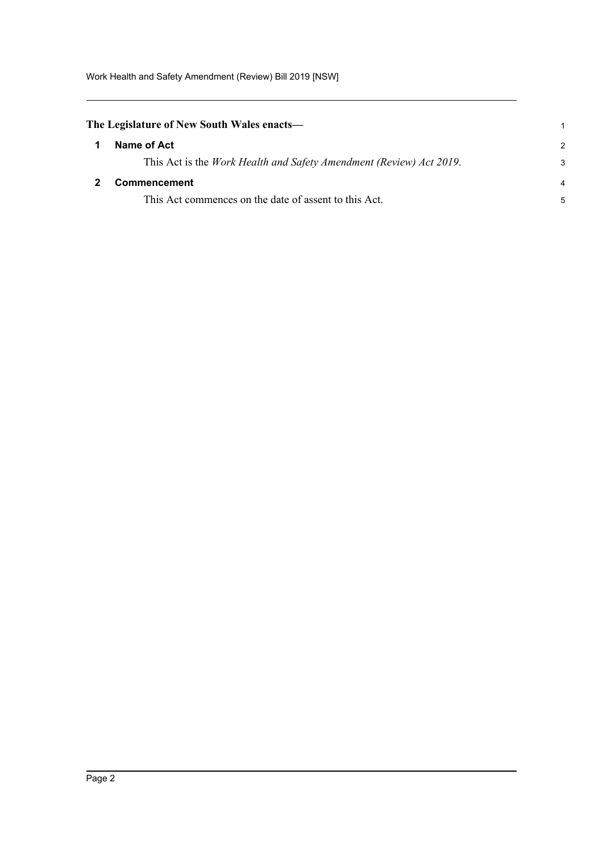Work Health and Safety Amendment (Review) Bill 2019 [NSW]

<span id="page-5-1"></span><span id="page-5-0"></span>

| The Legislature of New South Wales enacts— |                                                                             |               |
|--------------------------------------------|-----------------------------------------------------------------------------|---------------|
|                                            | Name of Act                                                                 | $\mathcal{P}$ |
|                                            | This Act is the <i>Work Health and Safety Amendment (Review) Act 2019</i> . | 3             |
|                                            | <b>Commencement</b>                                                         | 4             |
|                                            | This Act commences on the date of assent to this Act.                       | 5             |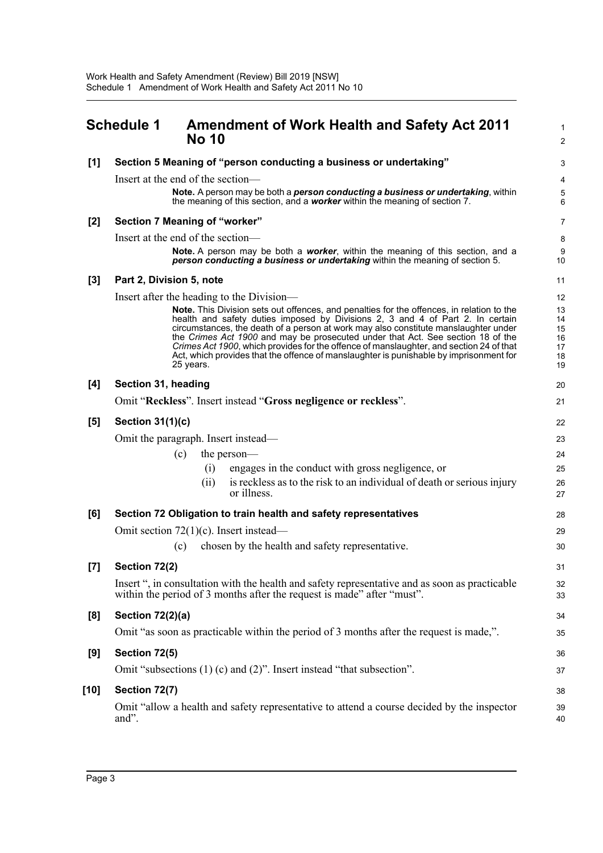<span id="page-6-0"></span>

|       | <b>Schedule 1</b>        | <b>Amendment of Work Health and Safety Act 2011</b><br><b>No 10</b>                                                                                                                                                                                                                                                                                                                                                                                                                                                                                     | 1<br>$\overline{2}$                    |
|-------|--------------------------|---------------------------------------------------------------------------------------------------------------------------------------------------------------------------------------------------------------------------------------------------------------------------------------------------------------------------------------------------------------------------------------------------------------------------------------------------------------------------------------------------------------------------------------------------------|----------------------------------------|
| [1]   |                          | Section 5 Meaning of "person conducting a business or undertaking"                                                                                                                                                                                                                                                                                                                                                                                                                                                                                      | 3                                      |
|       |                          | Insert at the end of the section-                                                                                                                                                                                                                                                                                                                                                                                                                                                                                                                       | 4                                      |
|       |                          | Note. A person may be both a <i>person conducting a business or undertaking</i> , within<br>the meaning of this section, and a <b>worker</b> within the meaning of section 7.                                                                                                                                                                                                                                                                                                                                                                           | 5<br>6                                 |
| [2]   |                          | Section 7 Meaning of "worker"                                                                                                                                                                                                                                                                                                                                                                                                                                                                                                                           | $\overline{7}$                         |
|       |                          | Insert at the end of the section-                                                                                                                                                                                                                                                                                                                                                                                                                                                                                                                       | 8                                      |
|       |                          | <b>Note.</b> A person may be both a <b>worker</b> , within the meaning of this section, and a<br>person conducting a business or undertaking within the meaning of section 5.                                                                                                                                                                                                                                                                                                                                                                           | 9<br>10                                |
| $[3]$ | Part 2, Division 5, note |                                                                                                                                                                                                                                                                                                                                                                                                                                                                                                                                                         | 11                                     |
|       |                          | Insert after the heading to the Division—                                                                                                                                                                                                                                                                                                                                                                                                                                                                                                               | 12                                     |
|       |                          | Note. This Division sets out offences, and penalties for the offences, in relation to the<br>health and safety duties imposed by Divisions 2, 3 and 4 of Part 2. In certain<br>circumstances, the death of a person at work may also constitute manslaughter under<br>the Crimes Act 1900 and may be prosecuted under that Act. See section 18 of the<br>Crimes Act 1900, which provides for the offence of manslaughter, and section 24 of that<br>Act, which provides that the offence of manslaughter is punishable by imprisonment for<br>25 years. | 13<br>14<br>15<br>16<br>17<br>18<br>19 |
| [4]   | Section 31, heading      |                                                                                                                                                                                                                                                                                                                                                                                                                                                                                                                                                         | 20                                     |
|       |                          | Omit "Reckless". Insert instead "Gross negligence or reckless".                                                                                                                                                                                                                                                                                                                                                                                                                                                                                         | 21                                     |
| [5]   | <b>Section 31(1)(c)</b>  |                                                                                                                                                                                                                                                                                                                                                                                                                                                                                                                                                         | 22                                     |
|       |                          | Omit the paragraph. Insert instead-                                                                                                                                                                                                                                                                                                                                                                                                                                                                                                                     | 23                                     |
|       |                          | (c)<br>the person—                                                                                                                                                                                                                                                                                                                                                                                                                                                                                                                                      | 24                                     |
|       |                          | engages in the conduct with gross negligence, or<br>(i)                                                                                                                                                                                                                                                                                                                                                                                                                                                                                                 | 25                                     |
|       |                          | is reckless as to the risk to an individual of death or serious injury<br>(i)<br>or illness.                                                                                                                                                                                                                                                                                                                                                                                                                                                            | 26<br>27                               |
| [6]   |                          | Section 72 Obligation to train health and safety representatives                                                                                                                                                                                                                                                                                                                                                                                                                                                                                        | 28                                     |
|       |                          | Omit section $72(1)(c)$ . Insert instead—                                                                                                                                                                                                                                                                                                                                                                                                                                                                                                               | 29                                     |
|       |                          | chosen by the health and safety representative.<br>(c)                                                                                                                                                                                                                                                                                                                                                                                                                                                                                                  | 30                                     |
| [7]   | Section 72(2)            |                                                                                                                                                                                                                                                                                                                                                                                                                                                                                                                                                         | 31                                     |
|       |                          | Insert ", in consultation with the health and safety representative and as soon as practicable<br>within the period of 3 months after the request is made" after "must".                                                                                                                                                                                                                                                                                                                                                                                | 32<br>33                               |
| [8]   | <b>Section 72(2)(a)</b>  |                                                                                                                                                                                                                                                                                                                                                                                                                                                                                                                                                         | 34                                     |
|       |                          | Omit "as soon as practicable within the period of 3 months after the request is made,".                                                                                                                                                                                                                                                                                                                                                                                                                                                                 | 35                                     |
| [9]   | Section 72(5)            |                                                                                                                                                                                                                                                                                                                                                                                                                                                                                                                                                         | 36                                     |
|       |                          | Omit "subsections $(1)$ (c) and $(2)$ ". Insert instead "that subsection".                                                                                                                                                                                                                                                                                                                                                                                                                                                                              | 37                                     |
| [10]  | Section 72(7)            |                                                                                                                                                                                                                                                                                                                                                                                                                                                                                                                                                         | 38                                     |
|       | and".                    | Omit "allow a health and safety representative to attend a course decided by the inspector                                                                                                                                                                                                                                                                                                                                                                                                                                                              | 39<br>40                               |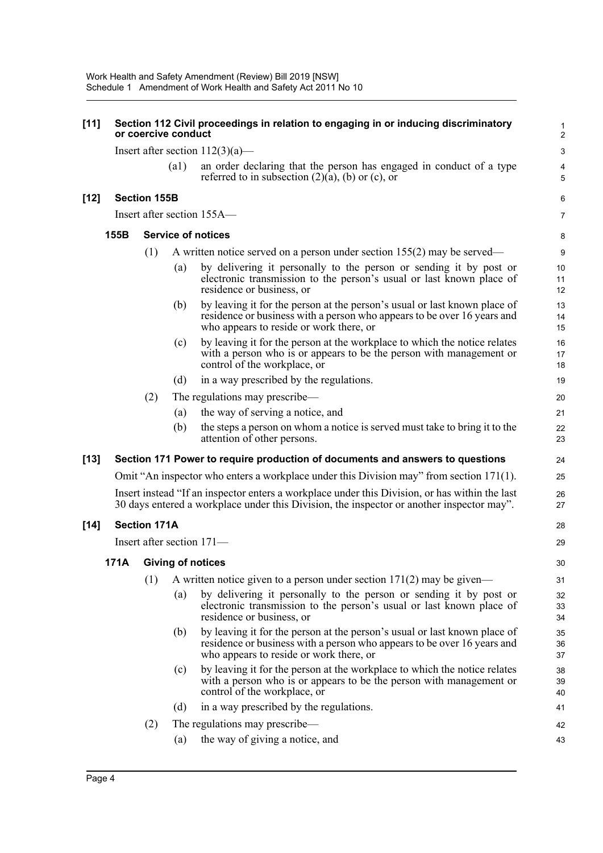| $[11]$ |      |                     | or coercive conduct | Section 112 Civil proceedings in relation to engaging in or inducing discriminatory                                                                                                             | $\mathbf{1}$<br>$\overline{c}$ |
|--------|------|---------------------|---------------------|-------------------------------------------------------------------------------------------------------------------------------------------------------------------------------------------------|--------------------------------|
|        |      |                     |                     | Insert after section $112(3)(a)$ —                                                                                                                                                              | $\mathsf 3$                    |
|        |      |                     | $\left( a1\right)$  | an order declaring that the person has engaged in conduct of a type<br>referred to in subsection $(2)(a)$ , (b) or (c), or                                                                      | 4<br>5                         |
| $[12]$ |      | <b>Section 155B</b> |                     |                                                                                                                                                                                                 | 6                              |
|        |      |                     |                     | Insert after section 155A—                                                                                                                                                                      | $\overline{7}$                 |
|        | 155B |                     |                     | <b>Service of notices</b>                                                                                                                                                                       | 8                              |
|        |      | (1)                 |                     | A written notice served on a person under section $155(2)$ may be served—                                                                                                                       | 9                              |
|        |      |                     | (a)                 | by delivering it personally to the person or sending it by post or<br>electronic transmission to the person's usual or last known place of<br>residence or business, or                         | 10<br>11<br>12                 |
|        |      |                     | (b)                 | by leaving it for the person at the person's usual or last known place of<br>residence or business with a person who appears to be over 16 years and<br>who appears to reside or work there, or | 13<br>14<br>15                 |
|        |      |                     | (c)                 | by leaving it for the person at the workplace to which the notice relates<br>with a person who is or appears to be the person with management or<br>control of the workplace, or                | 16<br>17<br>18                 |
|        |      |                     | (d)                 | in a way prescribed by the regulations.                                                                                                                                                         | 19                             |
|        |      | (2)                 |                     | The regulations may prescribe—                                                                                                                                                                  | 20                             |
|        |      |                     | (a)                 | the way of serving a notice, and                                                                                                                                                                | 21                             |
|        |      |                     | (b)                 | the steps a person on whom a notice is served must take to bring it to the<br>attention of other persons.                                                                                       | 22<br>23                       |
| $[13]$ |      |                     |                     | Section 171 Power to require production of documents and answers to questions                                                                                                                   | 24                             |
|        |      |                     |                     | Omit "An inspector who enters a workplace under this Division may" from section 171(1).                                                                                                         | 25                             |
|        |      |                     |                     | Insert instead "If an inspector enters a workplace under this Division, or has within the last<br>30 days entered a workplace under this Division, the inspector or another inspector may".     | 26<br>27                       |
| $[14]$ |      | <b>Section 171A</b> |                     |                                                                                                                                                                                                 | 28                             |
|        |      |                     |                     | Insert after section 171—                                                                                                                                                                       | 29                             |
|        | 171A |                     |                     | <b>Giving of notices</b>                                                                                                                                                                        | 30                             |
|        |      | (1)                 |                     | A written notice given to a person under section $171(2)$ may be given—                                                                                                                         | 31                             |
|        |      |                     | (a)                 | by delivering it personally to the person or sending it by post or<br>electronic transmission to the person's usual or last known place of<br>residence or business, or                         | 32<br>33<br>34                 |
|        |      |                     | (b)                 | by leaving it for the person at the person's usual or last known place of<br>residence or business with a person who appears to be over 16 years and<br>who appears to reside or work there, or | 35<br>36<br>37                 |
|        |      |                     | (c)                 | by leaving it for the person at the workplace to which the notice relates<br>with a person who is or appears to be the person with management or<br>control of the workplace, or                | 38<br>39<br>40                 |
|        |      |                     | (d)                 | in a way prescribed by the regulations.                                                                                                                                                         | 41                             |
|        |      | (2)                 |                     | The regulations may prescribe—                                                                                                                                                                  | 42                             |
|        |      |                     | $\left( a\right)$   | the way of giving a notice, and                                                                                                                                                                 | 43                             |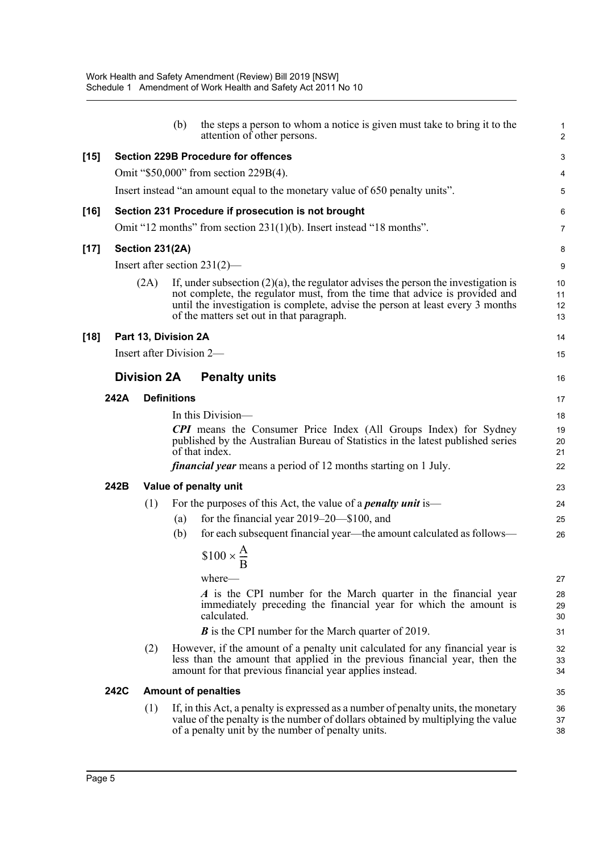|      |      |                        | (b)                | the steps a person to whom a notice is given must take to bring it to the<br>attention of other persons.                                                                                                                                                                                            | $\mathbf{1}$<br>$\overline{2}$ |
|------|------|------------------------|--------------------|-----------------------------------------------------------------------------------------------------------------------------------------------------------------------------------------------------------------------------------------------------------------------------------------------------|--------------------------------|
| [15] |      |                        |                    | <b>Section 229B Procedure for offences</b>                                                                                                                                                                                                                                                          | 3                              |
|      |      |                        |                    | Omit "\$50,000" from section 229B(4).                                                                                                                                                                                                                                                               | 4                              |
|      |      |                        |                    | Insert instead "an amount equal to the monetary value of 650 penalty units".                                                                                                                                                                                                                        | 5                              |
| [16] |      |                        |                    | Section 231 Procedure if prosecution is not brought                                                                                                                                                                                                                                                 | 6                              |
|      |      |                        |                    | Omit "12 months" from section $231(1)(b)$ . Insert instead "18 months".                                                                                                                                                                                                                             | $\overline{7}$                 |
| [17] |      | <b>Section 231(2A)</b> |                    |                                                                                                                                                                                                                                                                                                     | 8                              |
|      |      |                        |                    | Insert after section $231(2)$ —                                                                                                                                                                                                                                                                     | 9                              |
|      |      | (2A)                   |                    | If, under subsection $(2)(a)$ , the regulator advises the person the investigation is<br>not complete, the regulator must, from the time that advice is provided and<br>until the investigation is complete, advise the person at least every 3 months<br>of the matters set out in that paragraph. | 10<br>11<br>12<br>13           |
| [18] |      | Part 13, Division 2A   |                    |                                                                                                                                                                                                                                                                                                     | 14                             |
|      |      |                        |                    | Insert after Division 2-                                                                                                                                                                                                                                                                            | 15                             |
|      |      | <b>Division 2A</b>     |                    | <b>Penalty units</b>                                                                                                                                                                                                                                                                                | 16                             |
|      | 242A |                        | <b>Definitions</b> |                                                                                                                                                                                                                                                                                                     | 17                             |
|      |      |                        |                    | In this Division—                                                                                                                                                                                                                                                                                   | 18                             |
|      |      |                        |                    | <b>CPI</b> means the Consumer Price Index (All Groups Index) for Sydney<br>published by the Australian Bureau of Statistics in the latest published series<br>of that index.                                                                                                                        | 19<br>20<br>21                 |
|      |      |                        |                    | <i>financial year</i> means a period of 12 months starting on 1 July.                                                                                                                                                                                                                               | 22                             |
|      | 242B |                        |                    | Value of penalty unit                                                                                                                                                                                                                                                                               | 23                             |
|      |      | (1)                    |                    | For the purposes of this Act, the value of a <i>penalty unit</i> is—                                                                                                                                                                                                                                | 24                             |
|      |      |                        | (a)                | for the financial year $2019-20$ —\$100, and                                                                                                                                                                                                                                                        | 25                             |
|      |      |                        | (b)                | for each subsequent financial year—the amount calculated as follows—                                                                                                                                                                                                                                | 26                             |
|      |      |                        |                    | $$100 \times \frac{A}{B}$                                                                                                                                                                                                                                                                           |                                |
|      |      |                        |                    | where-                                                                                                                                                                                                                                                                                              | 27                             |
|      |      |                        |                    | A is the CPI number for the March quarter in the financial year<br>immediately preceding the financial year for which the amount is<br>calculated.                                                                                                                                                  | 28<br>29<br>30                 |
|      |      |                        |                    | <b>B</b> is the CPI number for the March quarter of 2019.                                                                                                                                                                                                                                           | 31                             |
|      |      | (2)                    |                    | However, if the amount of a penalty unit calculated for any financial year is<br>less than the amount that applied in the previous financial year, then the<br>amount for that previous financial year applies instead.                                                                             | 32<br>33<br>34                 |
|      | 242C |                        |                    | <b>Amount of penalties</b>                                                                                                                                                                                                                                                                          | 35                             |
|      |      | (1)                    |                    | If, in this Act, a penalty is expressed as a number of penalty units, the monetary<br>value of the penalty is the number of dollars obtained by multiplying the value<br>of a penalty unit by the number of penalty units.                                                                          | 36<br>37<br>38                 |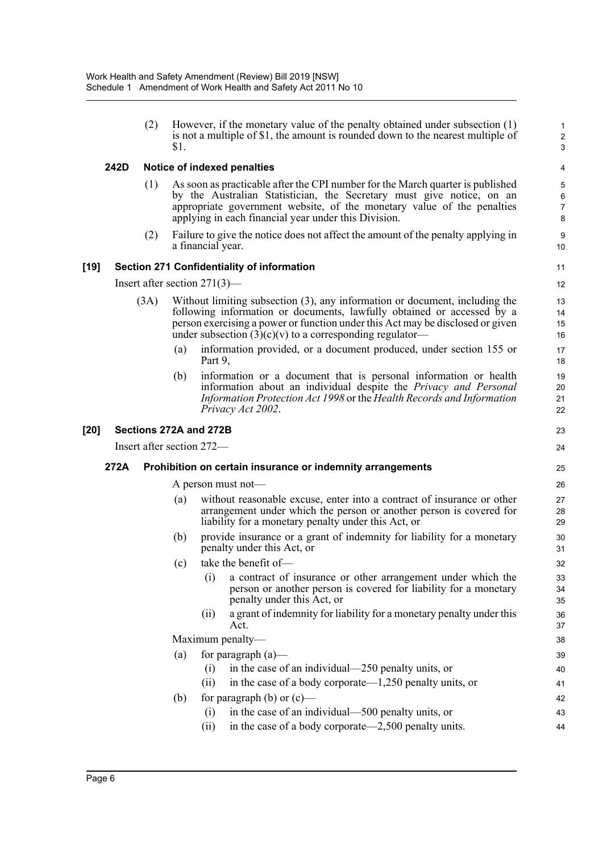(2) However, if the monetary value of the penalty obtained under subsection (1) is not a multiple of \$1, the amount is rounded down to the nearest multiple of \$1.

23 24

#### **242D Notice of indexed penalties**

- (1) As soon as practicable after the CPI number for the March quarter is published by the Australian Statistician, the Secretary must give notice, on an appropriate government website, of the monetary value of the penalties applying in each financial year under this Division.
- (2) Failure to give the notice does not affect the amount of the penalty applying in a financial year.

#### **[19] Section 271 Confidentiality of information**

Insert after section 271(3)—

- (3A) Without limiting subsection (3), any information or document, including the following information or documents, lawfully obtained or accessed by a person exercising a power or function under this Act may be disclosed or given under subsection  $(3)(c)(v)$  to a corresponding regulator-
	- (a) information provided, or a document produced, under section 155 or Part 9.
	- (b) information or a document that is personal information or health information about an individual despite the *Privacy and Personal Information Protection Act 1998* or the *Health Records and Information Privacy Act 2002*.

#### **[20] Sections 272A and 272B**

Insert after section 272—

#### **272A Prohibition on certain insurance or indemnity arrangements**

A person must not—

- (a) without reasonable excuse, enter into a contract of insurance or other arrangement under which the person or another person is covered for liability for a monetary penalty under this Act, or
- (b) provide insurance or a grant of indemnity for liability for a monetary penalty under this Act, or
- (c) take the benefit of—
	- (i) a contract of insurance or other arrangement under which the person or another person is covered for liability for a monetary penalty under this Act, or
	- (ii) a grant of indemnity for liability for a monetary penalty under this Act.

Maximum penalty—

- (a) for paragraph (a)—
	- (i) in the case of an individual—250 penalty units, or
	- (ii) in the case of a body corporate—1,250 penalty units, or
- (b) for paragraph (b) or  $(c)$ 
	- (i) in the case of an individual—500 penalty units, or
	- (ii) in the case of a body corporate—2,500 penalty units.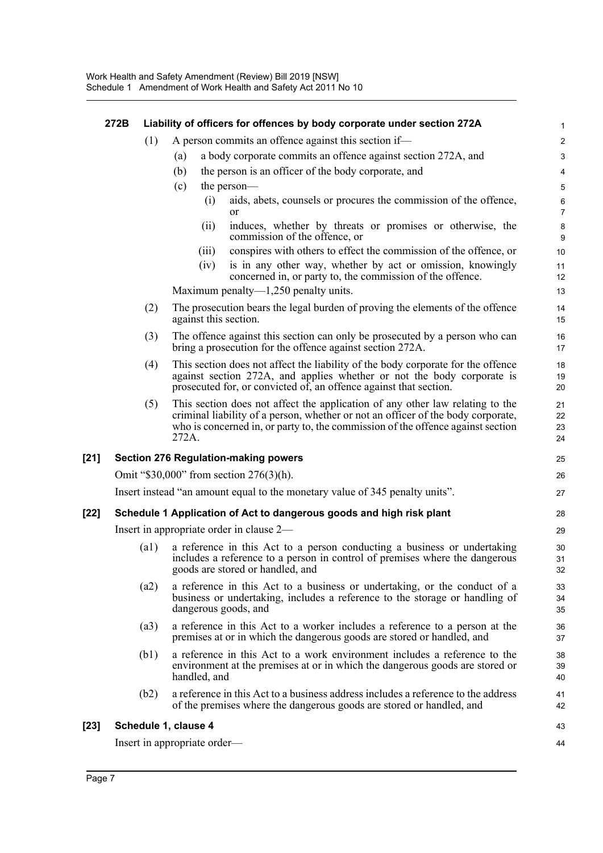|        | 272B |      | Liability of officers for offences by body corporate under section 272A                                                                                                                                                                                       | 1                           |
|--------|------|------|---------------------------------------------------------------------------------------------------------------------------------------------------------------------------------------------------------------------------------------------------------------|-----------------------------|
|        |      | (1)  | A person commits an offence against this section if—                                                                                                                                                                                                          | $\overline{2}$              |
|        |      |      | a body corporate commits an offence against section 272A, and<br>(a)                                                                                                                                                                                          | 3                           |
|        |      |      | the person is an officer of the body corporate, and<br>(b)                                                                                                                                                                                                    | 4                           |
|        |      |      | (c)<br>the person—                                                                                                                                                                                                                                            | $\mathbf 5$                 |
|        |      |      | aids, abets, counsels or procures the commission of the offence,<br>(i)<br><b>or</b>                                                                                                                                                                          | $\,6\,$<br>$\overline{7}$   |
|        |      |      | induces, whether by threats or promises or otherwise, the<br>(ii)<br>commission of the offence, or                                                                                                                                                            | $\bf 8$<br>$\boldsymbol{9}$ |
|        |      |      | conspires with others to effect the commission of the offence, or<br>(iii)                                                                                                                                                                                    | 10                          |
|        |      |      | (iv)<br>is in any other way, whether by act or omission, knowingly<br>concerned in, or party to, the commission of the offence.                                                                                                                               | 11<br>12                    |
|        |      |      | Maximum penalty— $1,250$ penalty units.                                                                                                                                                                                                                       | 13                          |
|        |      | (2)  | The prosecution bears the legal burden of proving the elements of the offence<br>against this section.                                                                                                                                                        | 14<br>15                    |
|        |      | (3)  | The offence against this section can only be prosecuted by a person who can<br>bring a prosecution for the offence against section 272A.                                                                                                                      | 16<br>17                    |
|        |      | (4)  | This section does not affect the liability of the body corporate for the offence<br>against section 272A, and applies whether or not the body corporate is<br>prosecuted for, or convicted of, an offence against that section.                               | 18<br>19<br>20              |
|        |      | (5)  | This section does not affect the application of any other law relating to the<br>criminal liability of a person, whether or not an officer of the body corporate,<br>who is concerned in, or party to, the commission of the offence against section<br>272A. | 21<br>22<br>23<br>24        |
| $[21]$ |      |      | <b>Section 276 Regulation-making powers</b>                                                                                                                                                                                                                   | 25                          |
|        |      |      | Omit "\$30,000" from section 276(3)(h).                                                                                                                                                                                                                       | 26                          |
|        |      |      | Insert instead "an amount equal to the monetary value of 345 penalty units".                                                                                                                                                                                  | 27                          |
| [22]   |      |      | Schedule 1 Application of Act to dangerous goods and high risk plant                                                                                                                                                                                          | 28                          |
|        |      |      | Insert in appropriate order in clause 2-                                                                                                                                                                                                                      | 29                          |
|        |      | (a1) | a reference in this Act to a person conducting a business or undertaking<br>includes a reference to a person in control of premises where the dangerous<br>goods are stored or handled, and                                                                   | 30<br>31<br>32              |
|        |      | (a2) | a reference in this Act to a business or undertaking, or the conduct of a<br>business or undertaking, includes a reference to the storage or handling of<br>dangerous goods, and                                                                              | 33<br>34<br>35              |
|        |      | (a3) | a reference in this Act to a worker includes a reference to a person at the<br>premises at or in which the dangerous goods are stored or handled, and                                                                                                         | 36<br>37                    |
|        |      | (b1) | a reference in this Act to a work environment includes a reference to the<br>environment at the premises at or in which the dangerous goods are stored or<br>handled, and                                                                                     | 38<br>39<br>40              |
|        |      | (b2) | a reference in this Act to a business address includes a reference to the address<br>of the premises where the dangerous goods are stored or handled, and                                                                                                     | 41<br>42                    |
| $[23]$ |      |      | Schedule 1, clause 4                                                                                                                                                                                                                                          | 43                          |
|        |      |      | Insert in appropriate order—                                                                                                                                                                                                                                  | 44                          |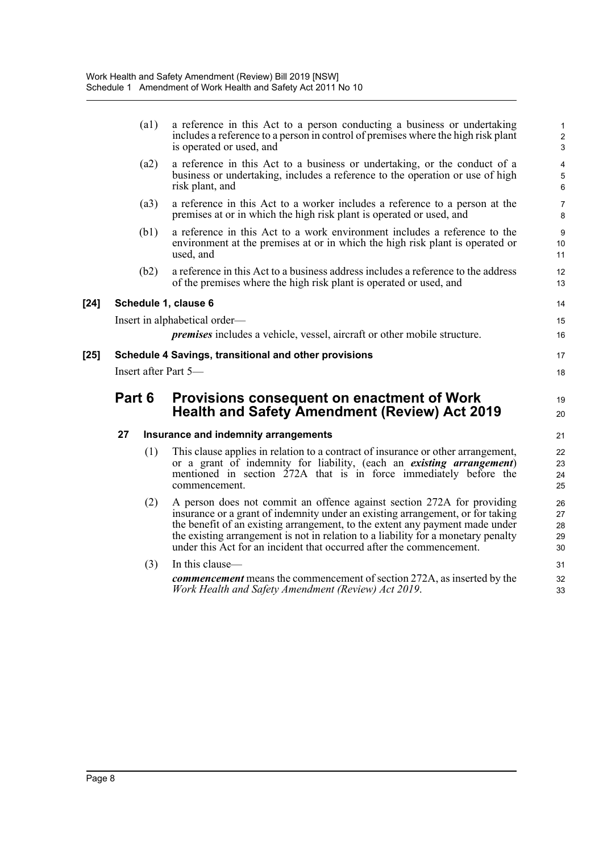|        |        | (a1) | a reference in this Act to a person conducting a business or undertaking<br>includes a reference to a person in control of premises where the high risk plant<br>is operated or used, and                                                                                                                                                                                                             | $\mathbf 1$<br>$\overline{c}$<br>$\mathbf{3}$ |
|--------|--------|------|-------------------------------------------------------------------------------------------------------------------------------------------------------------------------------------------------------------------------------------------------------------------------------------------------------------------------------------------------------------------------------------------------------|-----------------------------------------------|
|        |        | (a2) | a reference in this Act to a business or undertaking, or the conduct of a<br>business or undertaking, includes a reference to the operation or use of high<br>risk plant, and                                                                                                                                                                                                                         | 4<br>5<br>$6\phantom{1}6$                     |
|        |        | (a3) | a reference in this Act to a worker includes a reference to a person at the<br>premises at or in which the high risk plant is operated or used, and                                                                                                                                                                                                                                                   | $\overline{7}$<br>8                           |
|        |        | (b1) | a reference in this Act to a work environment includes a reference to the<br>environment at the premises at or in which the high risk plant is operated or<br>used, and                                                                                                                                                                                                                               | 9<br>10<br>11                                 |
|        |        | (b2) | a reference in this Act to a business address includes a reference to the address<br>of the premises where the high risk plant is operated or used, and                                                                                                                                                                                                                                               | 12<br>13                                      |
| $[24]$ |        |      | Schedule 1, clause 6                                                                                                                                                                                                                                                                                                                                                                                  | 14                                            |
|        |        |      | Insert in alphabetical order—                                                                                                                                                                                                                                                                                                                                                                         | 15                                            |
|        |        |      | <i>premises</i> includes a vehicle, vessel, aircraft or other mobile structure.                                                                                                                                                                                                                                                                                                                       | 16                                            |
| [25]   |        |      | Schedule 4 Savings, transitional and other provisions                                                                                                                                                                                                                                                                                                                                                 | 17                                            |
|        |        |      | Insert after Part 5-                                                                                                                                                                                                                                                                                                                                                                                  | 18                                            |
|        | Part 6 |      | Provisions consequent on enactment of Work<br><b>Health and Safety Amendment (Review) Act 2019</b>                                                                                                                                                                                                                                                                                                    | 19<br>20                                      |
|        | 27     |      | Insurance and indemnity arrangements                                                                                                                                                                                                                                                                                                                                                                  | 21                                            |
|        |        | (1)  | This clause applies in relation to a contract of insurance or other arrangement,<br>or a grant of indemnity for liability, (each an existing arrangement)<br>mentioned in section 272A that is in force immediately before the<br>commencement.                                                                                                                                                       | 22<br>23<br>24<br>25                          |
|        |        | (2)  | A person does not commit an offence against section 272A for providing<br>insurance or a grant of indemnity under an existing arrangement, or for taking<br>the benefit of an existing arrangement, to the extent any payment made under<br>the existing arrangement is not in relation to a liability for a monetary penalty<br>under this Act for an incident that occurred after the commencement. | 26<br>27<br>28<br>29<br>30                    |
|        |        | (3)  | In this clause—                                                                                                                                                                                                                                                                                                                                                                                       | 31                                            |
|        |        |      | <b><i>commencement</i></b> means the commencement of section 272A, as inserted by the<br>Work Health and Safety Amendment (Review) Act 2019.                                                                                                                                                                                                                                                          | 32<br>33                                      |

 $[24]$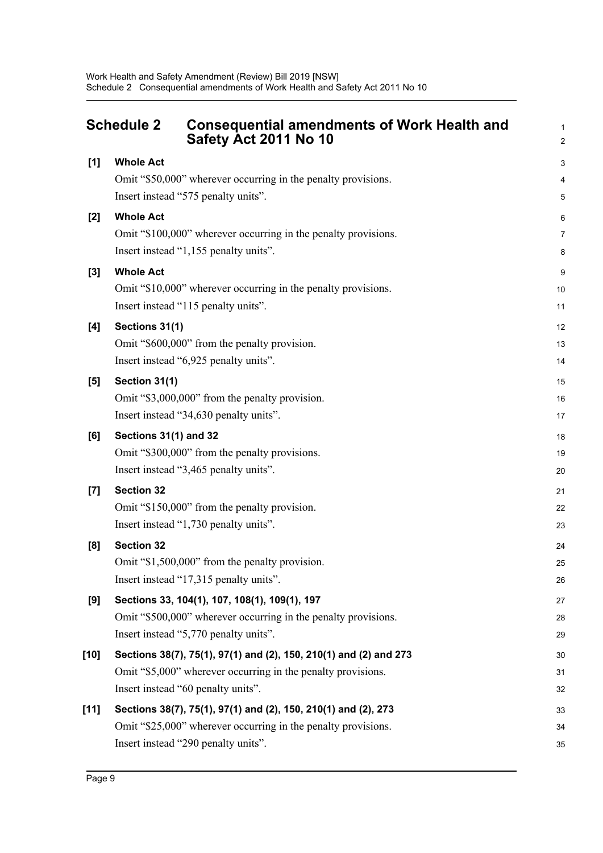<span id="page-12-0"></span>

|        | <b>Schedule 2</b><br><b>Consequential amendments of Work Health and</b><br>Safety Act 2011 No 10 | 1<br>$\overline{2}$ |
|--------|--------------------------------------------------------------------------------------------------|---------------------|
| $[1]$  | <b>Whole Act</b>                                                                                 | 3                   |
|        | Omit "\$50,000" wherever occurring in the penalty provisions.                                    | 4                   |
|        | Insert instead "575 penalty units".                                                              | 5                   |
| $[2]$  | <b>Whole Act</b>                                                                                 | 6                   |
|        | Omit "\$100,000" wherever occurring in the penalty provisions.                                   | $\overline{7}$      |
|        | Insert instead "1,155 penalty units".                                                            | 8                   |
| [3]    | <b>Whole Act</b>                                                                                 | 9                   |
|        | Omit "\$10,000" wherever occurring in the penalty provisions.                                    | 10                  |
|        | Insert instead "115 penalty units".                                                              | 11                  |
| [4]    | Sections 31(1)                                                                                   | 12                  |
|        | Omit "\$600,000" from the penalty provision.                                                     | 13                  |
|        | Insert instead "6,925 penalty units".                                                            | 14                  |
| [5]    | Section 31(1)                                                                                    | 15                  |
|        | Omit "\$3,000,000" from the penalty provision.                                                   | 16                  |
|        | Insert instead "34,630 penalty units".                                                           | 17                  |
| [6]    | Sections 31(1) and 32                                                                            | 18                  |
|        | Omit "\$300,000" from the penalty provisions.                                                    | 19                  |
|        | Insert instead "3,465 penalty units".                                                            | 20                  |
| $[7]$  | <b>Section 32</b>                                                                                | 21                  |
|        | Omit "\$150,000" from the penalty provision.                                                     | 22                  |
|        | Insert instead "1,730 penalty units".                                                            | 23                  |
| [8]    | <b>Section 32</b>                                                                                | 24                  |
|        | Omit "\$1,500,000" from the penalty provision.                                                   | 25                  |
|        | Insert instead "17,315 penalty units".                                                           | 26                  |
| [9]    | Sections 33, 104(1), 107, 108(1), 109(1), 197                                                    | 27                  |
|        | Omit "\$500,000" wherever occurring in the penalty provisions.                                   | 28                  |
|        | Insert instead "5,770 penalty units".                                                            | 29                  |
| $[10]$ | Sections 38(7), 75(1), 97(1) and (2), 150, 210(1) and (2) and 273                                | 30                  |
|        | Omit "\$5,000" wherever occurring in the penalty provisions.                                     | 31                  |
|        | Insert instead "60 penalty units".                                                               | 32                  |
| $[11]$ | Sections 38(7), 75(1), 97(1) and (2), 150, 210(1) and (2), 273                                   | 33                  |
|        | Omit "\$25,000" wherever occurring in the penalty provisions.                                    | 34                  |
|        | Insert instead "290 penalty units".                                                              | 35                  |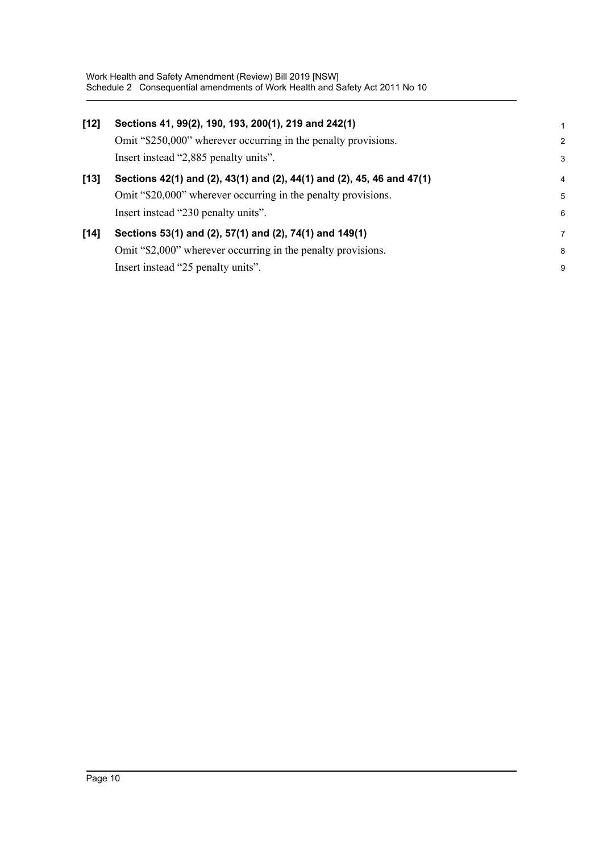| $[12]$ | Sections 41, 99(2), 190, 193, 200(1), 219 and 242(1)<br>Omit "\$250,000" wherever occurring in the penalty provisions.<br>Insert instead "2,885 penalty units".                | $\overline{2}$<br>3 |
|--------|--------------------------------------------------------------------------------------------------------------------------------------------------------------------------------|---------------------|
| $[13]$ | Sections 42(1) and (2), 43(1) and (2), 44(1) and (2), 45, 46 and 47(1)<br>Omit "\$20,000" wherever occurring in the penalty provisions.<br>Insert instead "230 penalty units". | 4<br>5<br>6         |
| $[14]$ | Sections 53(1) and (2), 57(1) and (2), 74(1) and 149(1)<br>Omit "\$2,000" wherever occurring in the penalty provisions.<br>Insert instead "25 penalty units".                  | 7<br>8<br>9         |